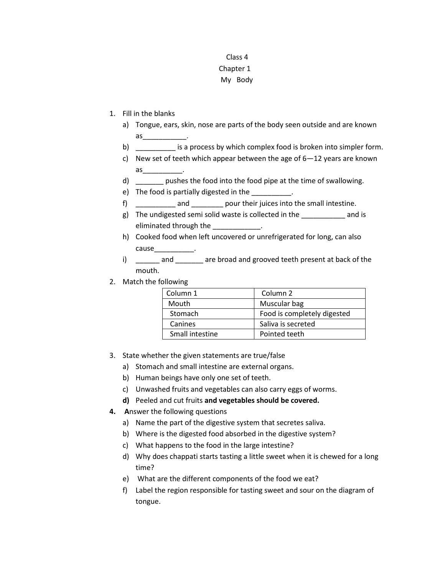## Class 4 Chapter 1 My Body

- 1. Fill in the blanks
	- a) Tongue, ears, skin, nose are parts of the body seen outside and are known as  $\overline{\phantom{a}}$
	- b) is a process by which complex food is broken into simpler form.
	- c) New set of teeth which appear between the age of 6—12 years are known  $\overline{a}$ s $\overline{a}$
	- d) \_\_\_\_\_\_\_ pushes the food into the food pipe at the time of swallowing.
	- e) The food is partially digested in the \_\_\_\_\_\_\_\_\_\_\_.
	- f) \_\_\_\_\_\_\_\_\_\_ and \_\_\_\_\_\_\_\_ pour their juices into the small intestine.
	- g) The undigested semi solid waste is collected in the \_\_\_\_\_\_\_\_\_\_\_ and is eliminated through the \_\_\_\_\_\_\_\_
	- h) Cooked food when left uncovered or unrefrigerated for long, can also cause\_\_\_\_\_\_\_\_\_\_.
	- i) and are broad and grooved teeth present at back of the mouth.
- 2. Match the following

| Column 1        | Column <sub>2</sub>         |
|-----------------|-----------------------------|
| Mouth           | Muscular bag                |
| Stomach         | Food is completely digested |
| Canines         | Saliva is secreted          |
| Small intestine | Pointed teeth               |

- 3. State whether the given statements are true/false
	- a) Stomach and small intestine are external organs.
	- b) Human beings have only one set of teeth.
	- c) Unwashed fruits and vegetables can also carry eggs of worms.
	- **d)** Peeled and cut fruits **and vegetables should be covered.**
- **4. A**nswer the following questions
	- a) Name the part of the digestive system that secretes saliva.
	- b) Where is the digested food absorbed in the digestive system?
	- c) What happens to the food in the large intestine?
	- d) Why does chappati starts tasting a little sweet when it is chewed for a long time?
	- e) What are the different components of the food we eat?
	- f) Label the region responsible for tasting sweet and sour on the diagram of tongue.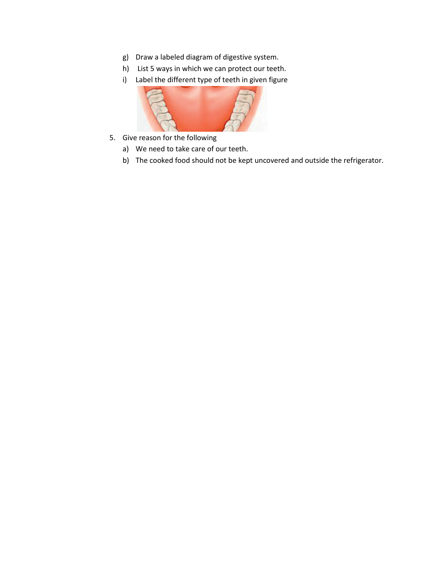- g) Draw a labeled diagram of digestive system.
- h) List 5 ways in which we can protect our teeth.
- i) Label the different type of teeth in given figure



- 5. Give reason for the following
	- a) We need to take care of our teeth.
	- b) The cooked food should not be kept uncovered and outside the refrigerator.